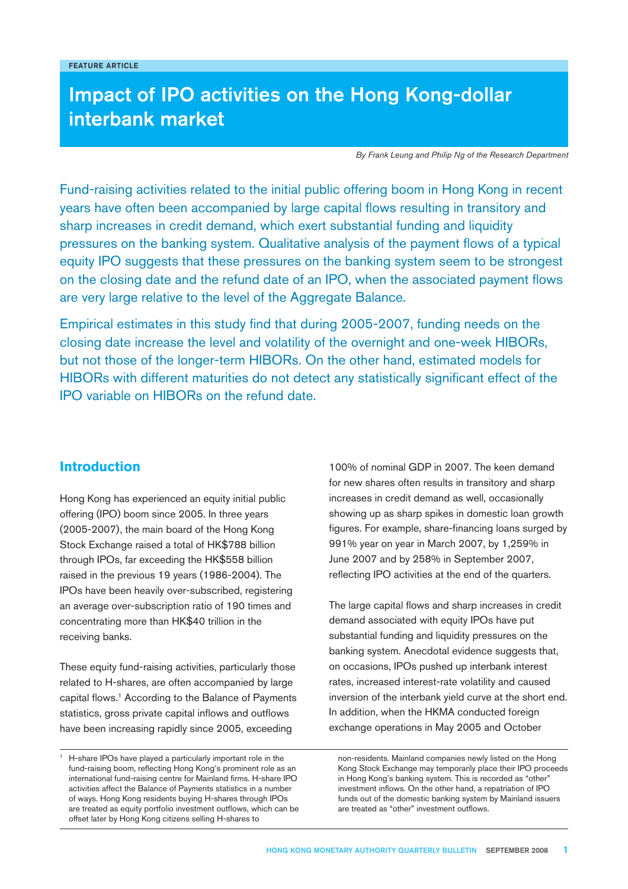# Impact of IPO activities on the Hong Kong-dollar interbank market

*By Frank Leung and Philip Ng of the Research Department*

Fund-raising activities related to the initial public offering boom in Hong Kong in recent years have often been accompanied by large capital flows resulting in transitory and sharp increases in credit demand, which exert substantial funding and liquidity pressures on the banking system. Qualitative analysis of the payment flows of a typical equity IPO suggests that these pressures on the banking system seem to be strongest on the closing date and the refund date of an IPO, when the associated payment flows are very large relative to the level of the Aggregate Balance.

Empirical estimates in this study find that during 2005-2007, funding needs on the closing date increase the level and volatility of the overnight and one-week HIBORs, but not those of the longer-term HIBORs. On the other hand, estimated models for HIBORs with different maturities do not detect any statistically significant effect of the IPO variable on HIBORs on the refund date.

# **Introduction**

Hong Kong has experienced an equity initial public offering (IPO) boom since 2005. In three years (2005-2007), the main board of the Hong Kong Stock Exchange raised a total of HK\$788 billion through IPOs, far exceeding the HK\$558 billion raised in the previous 19 years (1986-2004). The IPOs have been heavily over-subscribed, registering an average over-subscription ratio of 190 times and concentrating more than HK\$40 trillion in the receiving banks.

These equity fund-raising activities, particularly those related to H-shares, are often accompanied by large capital flows.<sup>1</sup> According to the Balance of Payments statistics, gross private capital inflows and outflows have been increasing rapidly since 2005, exceeding

100% of nominal GDP in 2007. The keen demand for new shares often results in transitory and sharp increases in credit demand as well, occasionally showing up as sharp spikes in domestic loan growth figures. For example, share-financing loans surged by 991% year on year in March 2007, by 1,259% in June 2007 and by 258% in September 2007, reflecting IPO activities at the end of the quarters.

The large capital flows and sharp increases in credit demand associated with equity IPOs have put substantial funding and liquidity pressures on the banking system. Anecdotal evidence suggests that, on occasions, IPOs pushed up interbank interest rates, increased interest-rate volatility and caused inversion of the interbank yield curve at the short end. In addition, when the HKMA conducted foreign exchange operations in May 2005 and October

non-residents. Mainland companies newly listed on the Hong Kong Stock Exchange may temporarily place their IPO proceeds in Hong Kong's banking system. This is recorded as "other" investment inflows. On the other hand, a repatriation of IPO funds out of the domestic banking system by Mainland issuers are treated as "other" investment outflows.

H-share IPOs have played a particularly important role in the fund-raising boom, reflecting Hong Kong's prominent role as an international fund-raising centre for Mainland firms. H-share IPO activities affect the Balance of Payments statistics in a number of ways. Hong Kong residents buying H-shares through IPOs are treated as equity portfolio investment outflows, which can be offset later by Hong Kong citizens selling H-shares to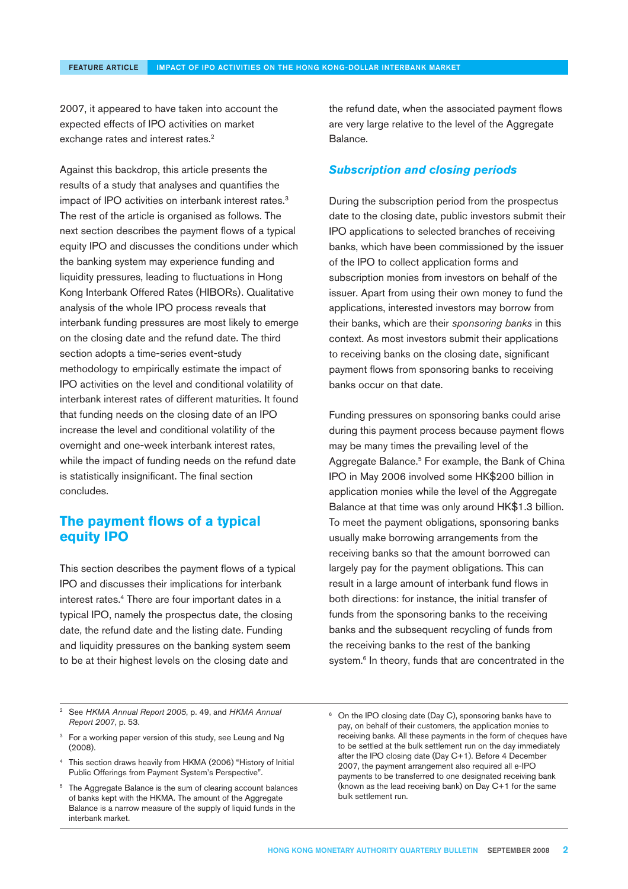2007, it appeared to have taken into account the expected effects of IPO activities on market exchange rates and interest rates.<sup>2</sup>

Against this backdrop, this article presents the results of a study that analyses and quantifies the impact of IPO activities on interbank interest rates.<sup>3</sup> The rest of the article is organised as follows. The next section describes the payment flows of a typical equity IPO and discusses the conditions under which the banking system may experience funding and liquidity pressures, leading to fluctuations in Hong Kong Interbank Offered Rates (HIBORs). Qualitative analysis of the whole IPO process reveals that interbank funding pressures are most likely to emerge on the closing date and the refund date. The third section adopts a time-series event-study methodology to empirically estimate the impact of IPO activities on the level and conditional volatility of interbank interest rates of different maturities. It found that funding needs on the closing date of an IPO increase the level and conditional volatility of the overnight and one-week interbank interest rates, while the impact of funding needs on the refund date is statistically insignificant. The final section concludes.

# **The payment flows of a typical equity IPO**

This section describes the payment flows of a typical IPO and discusses their implications for interbank interest rates.4 There are four important dates in a typical IPO, namely the prospectus date, the closing date, the refund date and the listing date. Funding and liquidity pressures on the banking system seem to be at their highest levels on the closing date and

the refund date, when the associated payment flows are very large relative to the level of the Aggregate Balance.

### *Subscription and closing periods*

During the subscription period from the prospectus date to the closing date, public investors submit their IPO applications to selected branches of receiving banks, which have been commissioned by the issuer of the IPO to collect application forms and subscription monies from investors on behalf of the issuer. Apart from using their own money to fund the applications, interested investors may borrow from their banks, which are their *sponsoring banks* in this context. As most investors submit their applications to receiving banks on the closing date, significant payment flows from sponsoring banks to receiving banks occur on that date.

Funding pressures on sponsoring banks could arise during this payment process because payment flows may be many times the prevailing level of the Aggregate Balance.<sup>5</sup> For example, the Bank of China IPO in May 2006 involved some HK\$200 billion in application monies while the level of the Aggregate Balance at that time was only around HK\$1.3 billion. To meet the payment obligations, sponsoring banks usually make borrowing arrangements from the receiving banks so that the amount borrowed can largely pay for the payment obligations. This can result in a large amount of interbank fund flows in both directions: for instance, the initial transfer of funds from the sponsoring banks to the receiving banks and the subsequent recycling of funds from the receiving banks to the rest of the banking system.<sup>6</sup> In theory, funds that are concentrated in the

- <sup>2</sup> See *HKMA Annual Report 2005*, p. 49, and *HKMA Annual Report 2007*, p. 53.
- <sup>3</sup> For a working paper version of this study, see Leung and Ng  $(2008)$ .
- <sup>4</sup> This section draws heavily from HKMA (2006) "History of Initial Public Offerings from Payment System's Perspective".
- <sup>5</sup> The Aggregate Balance is the sum of clearing account balances of banks kept with the HKMA. The amount of the Aggregate Balance is a narrow measure of the supply of liquid funds in the interbank market.

<sup>&</sup>lt;sup>6</sup> On the IPO closing date (Day C), sponsoring banks have to pay, on behalf of their customers, the application monies to receiving banks. All these payments in the form of cheques have to be settled at the bulk settlement run on the day immediately after the IPO closing date (Day C+1). Before 4 December 2007, the payment arrangement also required all e-IPO payments to be transferred to one designated receiving bank (known as the lead receiving bank) on Day C+1 for the same bulk settlement run.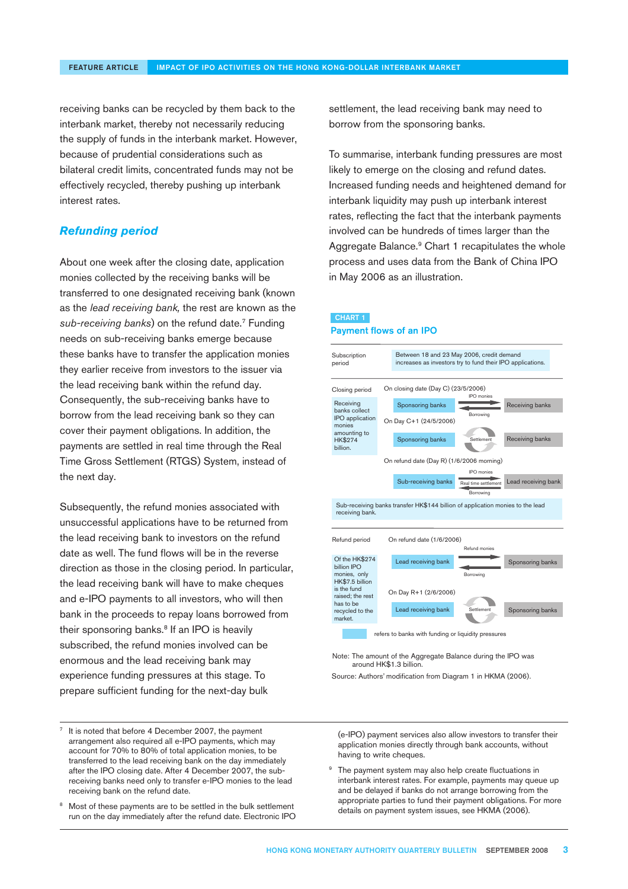receiving banks can be recycled by them back to the interbank market, thereby not necessarily reducing the supply of funds in the interbank market. However, because of prudential considerations such as bilateral credit limits, concentrated funds may not be effectively recycled, thereby pushing up interbank interest rates.

### *Refunding period*

About one week after the closing date, application monies collected by the receiving banks will be transferred to one designated receiving bank (known as the *lead receiving bank,* the rest are known as the *sub-receiving banks*) on the refund date.7 Funding needs on sub-receiving banks emerge because these banks have to transfer the application monies they earlier receive from investors to the issuer via the lead receiving bank within the refund day. Consequently, the sub-receiving banks have to borrow from the lead receiving bank so they can cover their payment obligations. In addition, the payments are settled in real time through the Real Time Gross Settlement (RTGS) System, instead of the next day.

Subsequently, the refund monies associated with unsuccessful applications have to be returned from the lead receiving bank to investors on the refund date as well. The fund flows will be in the reverse direction as those in the closing period. In particular, the lead receiving bank will have to make cheques and e-IPO payments to all investors, who will then bank in the proceeds to repay loans borrowed from their sponsoring banks.<sup>8</sup> If an IPO is heavily subscribed, the refund monies involved can be enormous and the lead receiving bank may experience funding pressures at this stage. To prepare sufficient funding for the next-day bulk

Most of these payments are to be settled in the bulk settlement run on the day immediately after the refund date. Electronic IPO settlement, the lead receiving bank may need to borrow from the sponsoring banks.

To summarise, interbank funding pressures are most likely to emerge on the closing and refund dates. Increased funding needs and heightened demand for interbank liquidity may push up interbank interest rates, reflecting the fact that the interbank payments involved can be hundreds of times larger than the Aggregate Balance.9 Chart 1 recapitulates the whole process and uses data from the Bank of China IPO in May 2006 as an illustration.

### CHART 1 Payment flows of an IPO



Note: The amount of the Aggregate Balance during the IPO was around HK\$1.3 billion.

Source: Authors' modification from Diagram 1 in HKMA (2006).

(e-IPO) payment services also allow investors to transfer their application monies directly through bank accounts, without having to write cheques.

The payment system may also help create fluctuations in interbank interest rates. For example, payments may queue up and be delayed if banks do not arrange borrowing from the appropriate parties to fund their payment obligations. For more details on payment system issues, see HKMA (2006).

It is noted that before 4 December 2007, the payment arrangement also required all e-IPO payments, which may account for 70% to 80% of total application monies, to be transferred to the lead receiving bank on the day immediately after the IPO closing date. After 4 December 2007, the subreceiving banks need only to transfer e-IPO monies to the lead receiving bank on the refund date.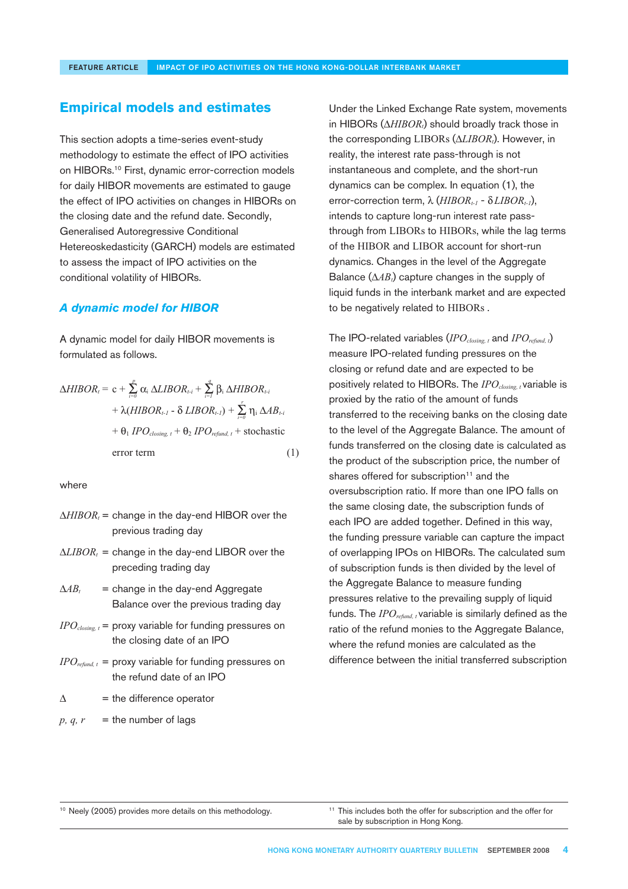## **Empirical models and estimates**

This section adopts a time-series event-study methodology to estimate the effect of IPO activities on HIBORs.10 First, dynamic error-correction models for daily HIBOR movements are estimated to gauge the effect of IPO activities on changes in HIBORs on the closing date and the refund date. Secondly, Generalised Autoregressive Conditional Hetereoskedasticity (GARCH) models are estimated to assess the impact of IPO activities on the conditional volatility of HIBORs.

### *A dynamic model for HIBOR*

A dynamic model for daily HIBOR movements is formulated as follows.

$$
\Delta HIBOR_t = \mathbf{c} + \sum_{i=0}^p \alpha_i \Delta LIBOR_{t-i} + \sum_{i=1}^q \beta_i \Delta HIBOR_{t-i} \n+ \lambda (HIBOR_{t-1} - \delta LIBOR_{t-1}) + \sum_{i=0}^r \eta_i \Delta AB_{t-i} \n+ \theta_1 \, IPO_{closing, t} + \theta_2 \, IPO_{refund, t} + stochastic \nerror term
$$
\n(1)

where

- $\Delta HIBOR_t$  = change in the day-end HIBOR over the previous trading day
- $\Delta LIBOR_t$  = change in the day-end LIBOR over the preceding trading day
- $\Delta AB_t$  = change in the day-end Aggregate Balance over the previous trading day
- *IPOclosing, t* = proxy variable for funding pressures on the closing date of an IPO
- $IPO_{refund, t}$  = proxy variable for funding pressures on the refund date of an IPO
- $\triangle$  = the difference operator
- $p, q, r =$  the number of lags

Under the Linked Exchange Rate system, movements in HIBORs ( $ΔHIBOR<sub>i</sub>$ ) should broadly track those in the corresponding LIBORs (Δ*LIBOR*<sub>c</sub>). However, in reality, the interest rate pass-through is not instantaneous and complete, and the short-run dynamics can be complex. In equation (1), the error-correction term,  $\lambda$  (*HIBOR<sub>t-1</sub>* - δ *LIBOR<sub>t-1</sub>*), intends to capture long-run interest rate passthrough from LIBORs to HIBORs, while the lag terms of the HIBOR and LIBOR account for short-run dynamics. Changes in the level of the Aggregate Balance  $(\Delta AB_i)$  capture changes in the supply of liquid funds in the interbank market and are expected to be negatively related to HIBORs .

The IPO-related variables (*IPOclosing, t* and *IPOrefund, t*) measure IPO-related funding pressures on the closing or refund date and are expected to be positively related to HIBORs. The *IPOclosing, t* variable is proxied by the ratio of the amount of funds transferred to the receiving banks on the closing date to the level of the Aggregate Balance. The amount of funds transferred on the closing date is calculated as the product of the subscription price, the number of shares offered for subscription<sup>11</sup> and the oversubscription ratio. If more than one IPO falls on the same closing date, the subscription funds of each IPO are added together. Defined in this way, the funding pressure variable can capture the impact of overlapping IPOs on HIBORs. The calculated sum of subscription funds is then divided by the level of the Aggregate Balance to measure funding pressures relative to the prevailing supply of liquid funds. The *IPO<sub>refund, t* variable is similarly defined as the</sub> ratio of the refund monies to the Aggregate Balance, where the refund monies are calculated as the difference between the initial transferred subscription

<sup>10</sup> Neely (2005) provides more details on this methodology. <sup>11</sup> This includes both the offer for subscription and the offer for sale by subscription in Hong Kong.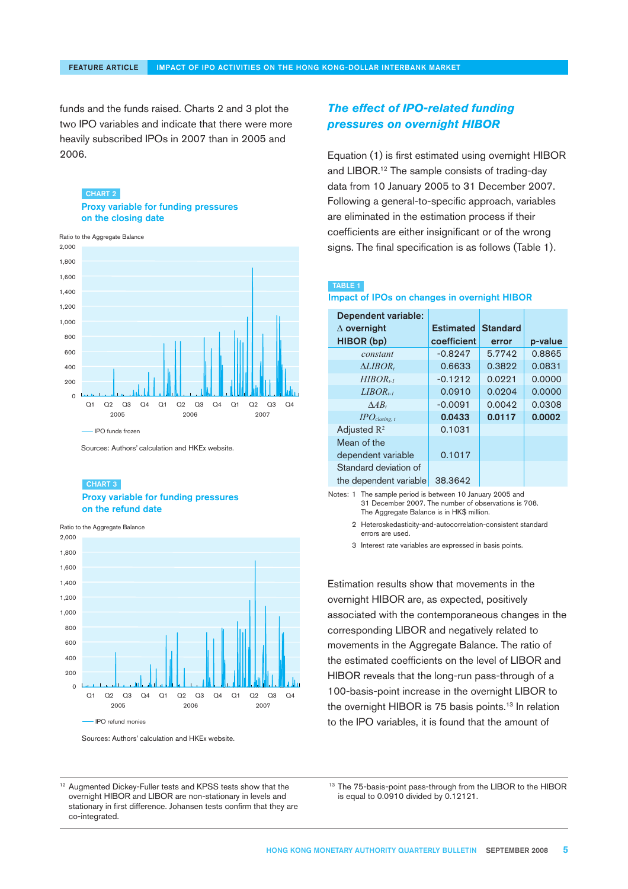funds and the funds raised. Charts 2 and 3 plot the two IPO variables and indicate that there were more heavily subscribed IPOs in 2007 than in 2005 and 2006.

#### CHART 2

Proxy variable for funding pressures on the closing date



Sources: Authors' calculation and HKEx website.

### CHART 3

#### Proxy variable for funding pressures on the refund date

Ratio to the Aggregate Balance



Sources: Authors' calculation and HKEx website.

# *The effect of IPO-related funding pressures on overnight HIBOR*

Equation (1) is first estimated using overnight HIBOR and LIBOR.12 The sample consists of trading-day data from 10 January 2005 to 31 December 2007. Following a general-to-specific approach, variables are eliminated in the estimation process if their coefficients are either insignificant or of the wrong signs. The final specification is as follows (Table 1).

#### TABLE 1

#### Impact of IPOs on changes in overnight HIBOR

| Dependent variable:                |                  |          |         |
|------------------------------------|------------------|----------|---------|
| $\Delta$ overnight                 | <b>Estimated</b> | Standard |         |
| <b>HIBOR</b> (bp)                  | coefficient      | error    | p-value |
| constant                           | $-0.8247$        | 5.7742   | 0.8865  |
| $\triangle LIBOR$                  | 0.6633           | 0.3822   | 0.0831  |
| $HIBOR_{t-1}$                      | $-0.1919$        | 0.0221   | 0.0000  |
| $LIBOR_{t-1}$                      | 0.0910           | 0.0204   | 0.0000  |
| $\triangle AB_t$                   | $-0.0091$        | 0.0042   | 0.0308  |
| $\textit{IPO}_\textit{closing, t}$ | 0.0433           | 0.0117   | 0.0002  |
| Adjusted $R^2$                     | 0.1031           |          |         |
| Mean of the                        |                  |          |         |
| dependent variable                 | 0.1017           |          |         |
| Standard deviation of              |                  |          |         |
| the dependent variable             | 38.3642          |          |         |

Notes: 1 The sample period is between 10 January 2005 and 31 December 2007. The number of observations is 708. The Aggregate Balance is in HK\$ million.

- 2 Heteroskedasticity-and-autocorrelation-consistent standard errors are used.
- 3 Interest rate variables are expressed in basis points.

Estimation results show that movements in the overnight HIBOR are, as expected, positively associated with the contemporaneous changes in the corresponding LIBOR and negatively related to movements in the Aggregate Balance. The ratio of the estimated coefficients on the level of LIBOR and HIBOR reveals that the long-run pass-through of a 100-basis-point increase in the overnight LIBOR to the overnight HIBOR is 75 basis points.<sup>13</sup> In relation to the IPO variables, it is found that the amount of

<sup>12</sup> Augmented Dickey-Fuller tests and KPSS tests show that the overnight HIBOR and LIBOR are non-stationary in levels and stationary in first difference. Johansen tests confirm that they are co-integrated.

<sup>13</sup> The 75-basis-point pass-through from the LIBOR to the HIBOR is equal to 0.0910 divided by 0.12121.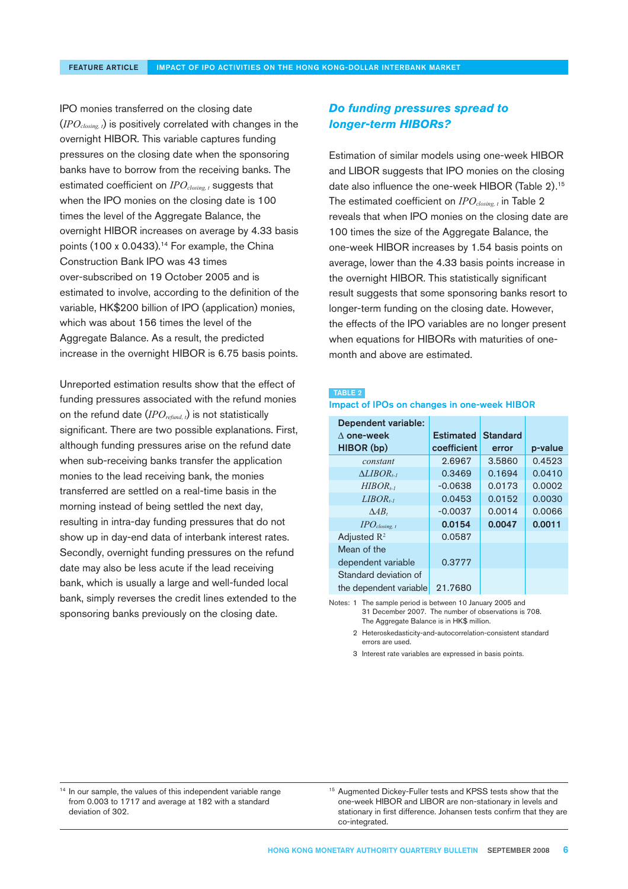IPO monies transferred on the closing date (*IPOclosing, t*) is positively correlated with changes in the overnight HIBOR. This variable captures funding pressures on the closing date when the sponsoring banks have to borrow from the receiving banks. The estimated coefficient on *IPOclosing, t* suggests that when the IPO monies on the closing date is 100 times the level of the Aggregate Balance, the overnight HIBOR increases on average by 4.33 basis points (100 x 0.0433).<sup>14</sup> For example, the China Construction Bank IPO was 43 times over-subscribed on 19 October 2005 and is estimated to involve, according to the definition of the variable, HK\$200 billion of IPO (application) monies, which was about 156 times the level of the Aggregate Balance. As a result, the predicted increase in the overnight HIBOR is 6.75 basis points.

Unreported estimation results show that the effect of funding pressures associated with the refund monies on the refund date  $(IPO_{refund, t})$  is not statistically significant. There are two possible explanations. First, although funding pressures arise on the refund date when sub-receiving banks transfer the application monies to the lead receiving bank, the monies transferred are settled on a real-time basis in the morning instead of being settled the next day, resulting in intra-day funding pressures that do not show up in day-end data of interbank interest rates. Secondly, overnight funding pressures on the refund date may also be less acute if the lead receiving bank, which is usually a large and well-funded local bank, simply reverses the credit lines extended to the sponsoring banks previously on the closing date.

### *Do funding pressures spread to longer-term HIBORs?*

Estimation of similar models using one-week HIBOR and LIBOR suggests that IPO monies on the closing date also influence the one-week HIBOR (Table 2).<sup>15</sup> The estimated coefficient on *IPOclosing, t* in Table 2 reveals that when IPO monies on the closing date are 100 times the size of the Aggregate Balance, the one-week HIBOR increases by 1.54 basis points on average, lower than the 4.33 basis points increase in the overnight HIBOR. This statistically significant result suggests that some sponsoring banks resort to longer-term funding on the closing date. However, the effects of the IPO variables are no longer present when equations for HIBORs with maturities of onemonth and above are estimated.

#### TABLE 2

#### Impact of IPOs on changes in one-week HIBOR

| Dependent variable:                |                  |                 |         |
|------------------------------------|------------------|-----------------|---------|
| $\Lambda$ one-week                 | <b>Estimated</b> | <b>Standard</b> |         |
| <b>HIBOR</b> (bp)                  | coefficient      | error           | p-value |
| constant                           | 2.6967           | 3.5860          | 0.4523  |
| $\triangle LIBOR_{t-1}$            | 0.3469           | 0.1694          | 0.0410  |
| $HIBOR_{t-1}$                      | $-0.0638$        | 0.0173          | 0.0002  |
| $LIBOR_{t-1}$                      | 0.0453           | 0.0152          | 0.0030  |
| $\triangle AB_t$                   | $-0.0037$        | 0.0014          | 0.0066  |
| $\textit{IPO}_\textit{closing.}$ t | 0.0154           | 0.0047          | 0.0011  |
| Adjusted $\mathbb{R}^2$            | 0.0587           |                 |         |
| Mean of the                        |                  |                 |         |
| dependent variable                 | 0.3777           |                 |         |
| Standard deviation of              |                  |                 |         |
| the dependent variable             | 21.7680          |                 |         |

Notes: 1 The sample period is between 10 January 2005 and 31 December 2007. The number of observations is 708. The Aggregate Balance is in HK\$ million.

> 2 Heteroskedasticity-and-autocorrelation-consistent standard errors are used.

3 Interest rate variables are expressed in basis points.

<sup>14</sup> In our sample, the values of this independent variable range from 0.003 to 1717 and average at 182 with a standard deviation of 302.

<sup>15</sup> Augmented Dickey-Fuller tests and KPSS tests show that the one-week HIBOR and LIBOR are non-stationary in levels and stationary in first difference. Johansen tests confirm that they are co-integrated.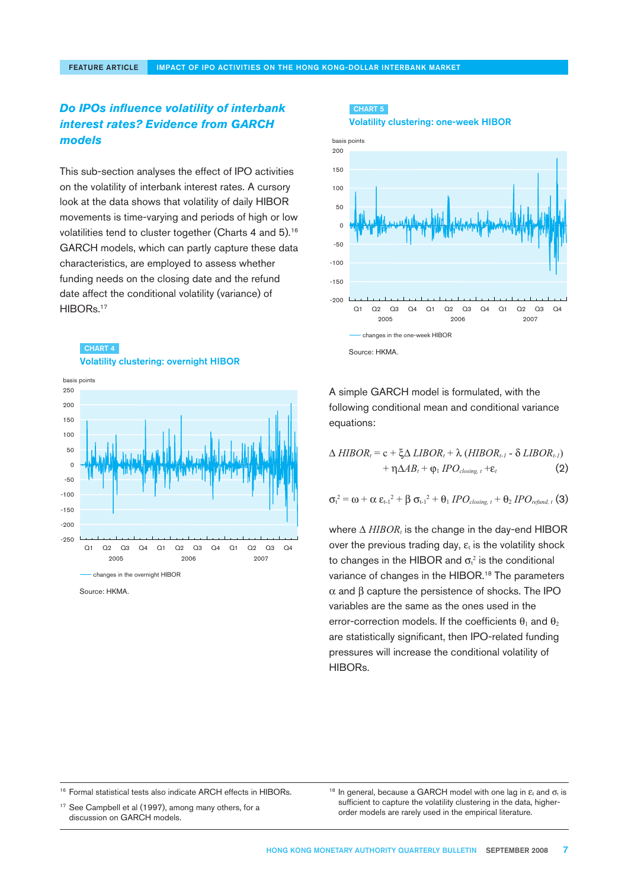# *Do IPOs influence volatility of interbank interest rates? Evidence from GARCH models*

This sub-section analyses the effect of IPO activities on the volatility of interbank interest rates. A cursory look at the data shows that volatility of daily HIBOR movements is time-varying and periods of high or low volatilities tend to cluster together (Charts 4 and 5).<sup>16</sup> GARCH models, which can partly capture these data characteristics, are employed to assess whether funding needs on the closing date and the refund date affect the conditional volatility (variance) of HIBORs.17

### CHART 4

Volatility clustering: overnight HIBOR





A simple GARCH model is formulated, with the following conditional mean and conditional variance equations:

$$
\Delta HIBOR_t = c + \xi \Delta LIBOR_t + \lambda (HIBOR_{t-1} - \delta LIBOR_{t-1}) + \eta \Delta AB_t + \varphi_1 IPO_{closing, t} + \varepsilon_t
$$
\n(2)

$$
\sigma_{t}^{2} = \omega + \alpha \epsilon_{t-1}^{2} + \beta \sigma_{t-1}^{2} + \theta_1 \text{ } IPO_{\text{closing}, t} + \theta_2 \text{ } IPO_{\text{refund}, t} \text{ (3)}
$$

where  $\Delta$  *HIBOR<sub>t</sub>* is the change in the day-end HIBOR over the previous trading day,  $\varepsilon_t$  is the volatility shock to changes in the HIBOR and  $\sigma_{t}^{2}$  is the conditional variance of changes in the HIBOR.<sup>18</sup> The parameters α and β capture the persistence of shocks. The IPO variables are the same as the ones used in the error-correction models. If the coefficients  $\theta_1$  and  $\theta_2$ are statistically significant, then IPO-related funding pressures will increase the conditional volatility of HIBORs.

<sup>16</sup> Formal statistical tests also indicate ARCH effects in HIBORs.

<sup>17</sup> See Campbell et al (1997), among many others, for a discussion on GARCH models.

<sup>18</sup> In general, because a GARCH model with one lag in  $\varepsilon_t$  and  $\sigma_t$  is sufficient to capture the volatility clustering in the data, higherorder models are rarely used in the empirical literature.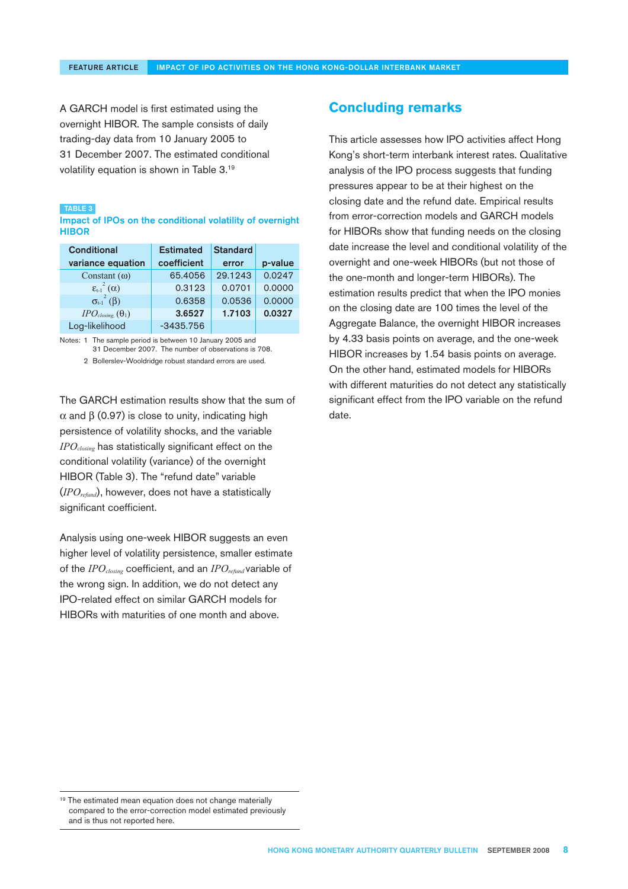A GARCH model is first estimated using the overnight HIBOR. The sample consists of daily trading-day data from 10 January 2005 to 31 December 2007. The estimated conditional volatility equation is shown in Table 3.19

#### TABLE 3

#### Impact of IPOs on the conditional volatility of overnight **HIBOR**

| <b>Conditional</b>                         | <b>Estimated</b> | <b>Standard</b> |         |
|--------------------------------------------|------------------|-----------------|---------|
| variance equation                          | coefficient      | error           | p-value |
| Constant $(\omega)$                        | 65,4056          | 29.1243         | 0.0247  |
| $\epsilon_{t-1}^{2}(\alpha)$               | 0.3123           | 0.0701          | 0.0000  |
| $\sigma_{t-1}^{2}(\beta)$                  | 0.6358           | 0.0536          | 0.0000  |
| $\textit{IPC}_\textit{closing.}(\theta_1)$ | 3.6527           | 1.7103          | 0.0327  |
| Log-likelihood                             | $-3435.756$      |                 |         |

Notes: 1 The sample period is between 10 January 2005 and 31 December 2007. The number of observations is 708.

2 Bollerslev-Wooldridge robust standard errors are used.

The GARCH estimation results show that the sum of α and β (0.97) is close to unity, indicating high persistence of volatility shocks, and the variable *IPOclosing* has statistically significant effect on the conditional volatility (variance) of the overnight HIBOR (Table 3). The "refund date" variable (*IPOrefund*), however, does not have a statistically significant coefficient.

Analysis using one-week HIBOR suggests an even higher level of volatility persistence, smaller estimate of the *IPOclosing* coefficient, and an *IPOrefund* variable of the wrong sign. In addition, we do not detect any IPO-related effect on similar GARCH models for HIBORs with maturities of one month and above.

### **Concluding remarks**

This article assesses how IPO activities affect Hong Kong's short-term interbank interest rates. Qualitative analysis of the IPO process suggests that funding pressures appear to be at their highest on the closing date and the refund date. Empirical results from error-correction models and GARCH models for HIBORs show that funding needs on the closing date increase the level and conditional volatility of the overnight and one-week HIBORs (but not those of the one-month and longer-term HIBORs). The estimation results predict that when the IPO monies on the closing date are 100 times the level of the Aggregate Balance, the overnight HIBOR increases by 4.33 basis points on average, and the one-week HIBOR increases by 1.54 basis points on average. On the other hand, estimated models for HIBORs with different maturities do not detect any statistically significant effect from the IPO variable on the refund date.

<sup>&</sup>lt;sup>19</sup> The estimated mean equation does not change materially compared to the error-correction model estimated previously and is thus not reported here.